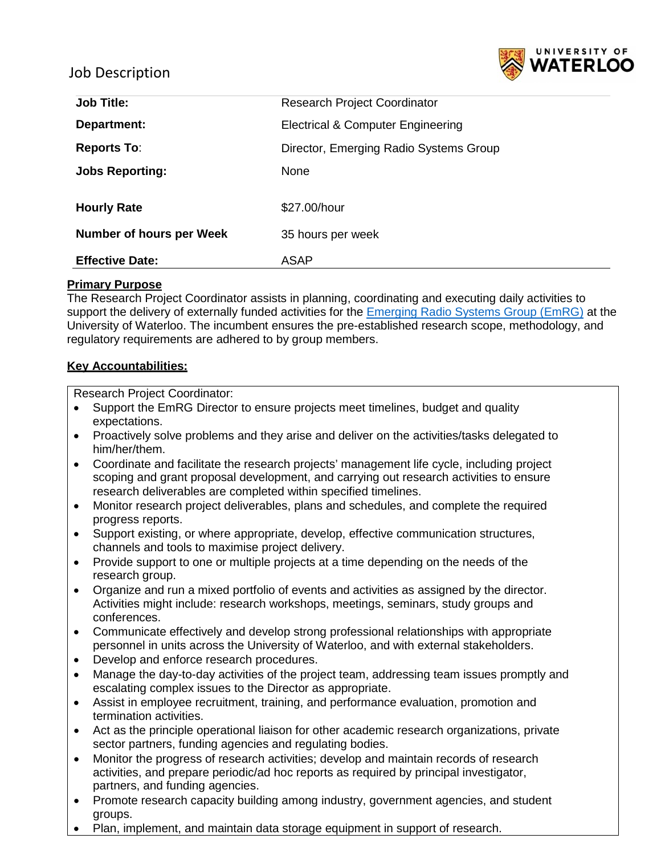

## Job Description

| <b>Job Title:</b>        | <b>Research Project Coordinator</b>    |
|--------------------------|----------------------------------------|
| Department:              | Electrical & Computer Engineering      |
| <b>Reports To:</b>       | Director, Emerging Radio Systems Group |
| <b>Jobs Reporting:</b>   | None                                   |
| <b>Hourly Rate</b>       | \$27.00/hour                           |
| Number of hours per Week | 35 hours per week                      |
| <b>Effective Date:</b>   | <b>ASAP</b>                            |

#### **Primary Purpose**

The Research Project Coordinator assists in planning, coordinating and executing daily activities to support the delivery of externally funded activities for the [Emerging Radio Systems Group \(EmRG\)](https://uwaterloo.ca/emerging-radio-systems-group/) at the University of Waterloo. The incumbent ensures the pre-established research scope, methodology, and regulatory requirements are adhered to by group members.

#### **Key Accountabilities:**

Research Project Coordinator:

- Support the EmRG Director to ensure projects meet timelines, budget and quality expectations.
- Proactively solve problems and they arise and deliver on the activities/tasks delegated to him/her/them.
- Coordinate and facilitate the research projects' management life cycle, including project scoping and grant proposal development, and carrying out research activities to ensure research deliverables are completed within specified timelines.
- Monitor research project deliverables, plans and schedules, and complete the required progress reports.
- Support existing, or where appropriate, develop, effective communication structures, channels and tools to maximise project delivery.
- Provide support to one or multiple projects at a time depending on the needs of the research group.
- Organize and run a mixed portfolio of events and activities as assigned by the director. Activities might include: research workshops, meetings, seminars, study groups and conferences.
- Communicate effectively and develop strong professional relationships with appropriate personnel in units across the University of Waterloo, and with external stakeholders.
- Develop and enforce research procedures.
- Manage the day-to-day activities of the project team, addressing team issues promptly and escalating complex issues to the Director as appropriate.
- Assist in employee recruitment, training, and performance evaluation, promotion and termination activities.
- Act as the principle operational liaison for other academic research organizations, private sector partners, funding agencies and regulating bodies.
- Monitor the progress of research activities; develop and maintain records of research activities, and prepare periodic/ad hoc reports as required by principal investigator, partners, and funding agencies.
- Promote research capacity building among industry, government agencies, and student groups.
- Plan, implement, and maintain data storage equipment in support of research.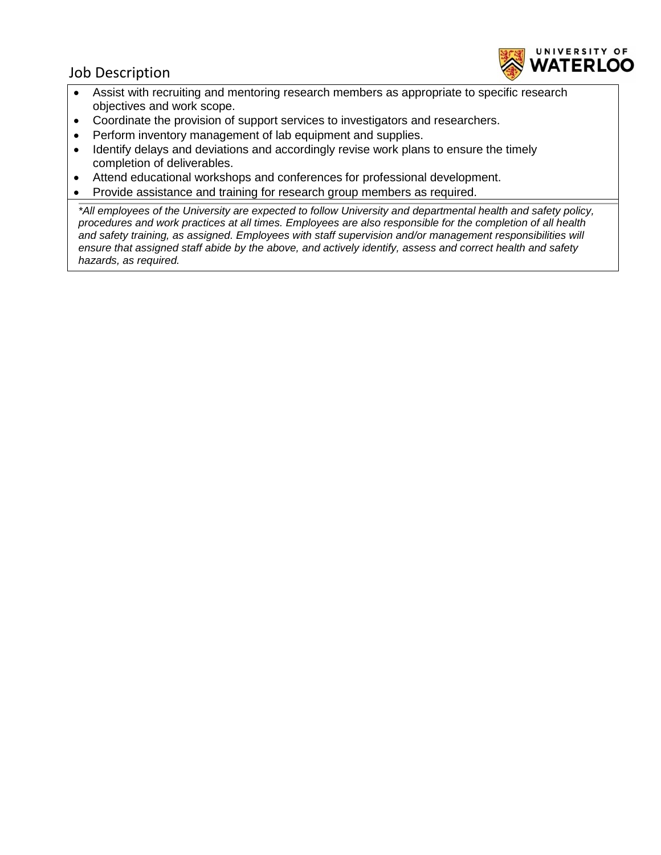# Job Description



- Assist with recruiting and mentoring research members as appropriate to specific research objectives and work scope.
- Coordinate the provision of support services to investigators and researchers.
- Perform inventory management of lab equipment and supplies.
- Identify delays and deviations and accordingly revise work plans to ensure the timely completion of deliverables.
- Attend educational workshops and conferences for professional development.
- Provide assistance and training for research group members as required.

*\*All employees of the University are expected to follow University and departmental health and safety policy, procedures and work practices at all times. Employees are also responsible for the completion of all health and safety training, as assigned. Employees with staff supervision and/or management responsibilities will ensure that assigned staff abide by the above, and actively identify, assess and correct health and safety hazards, as required.*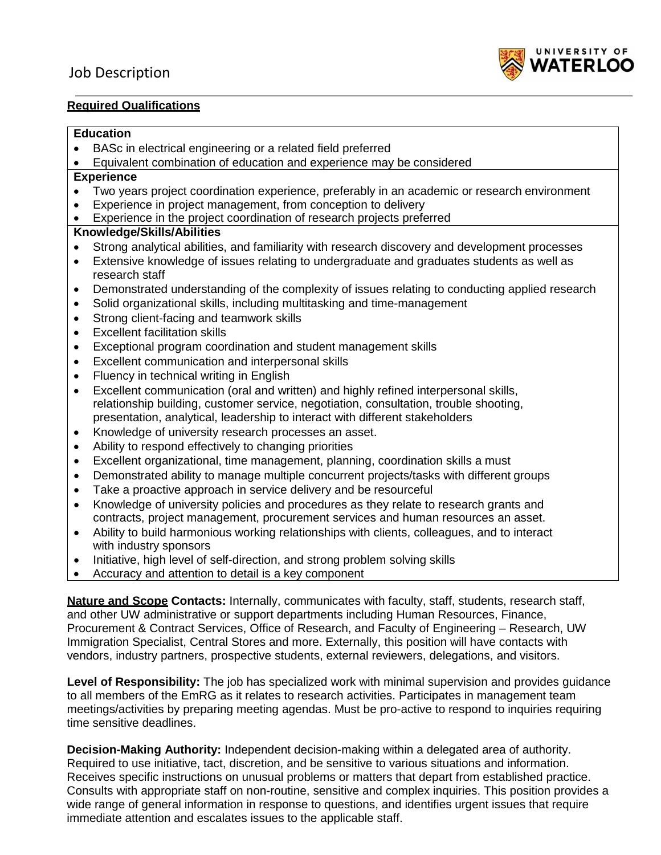

#### **Required Qualifications**

#### **Education**

- BASc in electrical engineering or a related field preferred
- Equivalent combination of education and experience may be considered

#### **Experience**

- Two years project coordination experience, preferably in an academic or research environment
- Experience in project management, from conception to delivery
- Experience in the project coordination of research projects preferred

### **Knowledge/Skills/Abilities**

- Strong analytical abilities, and familiarity with research discovery and development processes
- Extensive knowledge of issues relating to undergraduate and graduates students as well as research staff
- Demonstrated understanding of the complexity of issues relating to conducting applied research
- Solid organizational skills, including multitasking and time-management
- Strong client-facing and teamwork skills
- Excellent facilitation skills
- Exceptional program coordination and student management skills
- Excellent communication and interpersonal skills
- Fluency in technical writing in English
- Excellent communication (oral and written) and highly refined interpersonal skills, relationship building, customer service, negotiation, consultation, trouble shooting, presentation, analytical, leadership to interact with different stakeholders
- Knowledge of university research processes an asset.
- Ability to respond effectively to changing priorities
- Excellent organizational, time management, planning, coordination skills a must
- Demonstrated ability to manage multiple concurrent projects/tasks with different groups
- Take a proactive approach in service delivery and be resourceful
- Knowledge of university policies and procedures as they relate to research grants and contracts, project management, procurement services and human resources an asset.
- Ability to build harmonious working relationships with clients, colleagues, and to interact with industry sponsors
- Initiative, high level of self-direction, and strong problem solving skills
- Accuracy and attention to detail is a key component

**Nature and Scope Contacts:** Internally, communicates with faculty, staff, students, research staff, and other UW administrative or support departments including Human Resources, Finance, Procurement & Contract Services, Office of Research, and Faculty of Engineering – Research, UW Immigration Specialist, Central Stores and more. Externally, this position will have contacts with vendors, industry partners, prospective students, external reviewers, delegations, and visitors.

**Level of Responsibility:** The job has specialized work with minimal supervision and provides guidance to all members of the EmRG as it relates to research activities. Participates in management team meetings/activities by preparing meeting agendas. Must be pro-active to respond to inquiries requiring time sensitive deadlines.

**Decision-Making Authority:** Independent decision-making within a delegated area of authority. Required to use initiative, tact, discretion, and be sensitive to various situations and information. Receives specific instructions on unusual problems or matters that depart from established practice. Consults with appropriate staff on non-routine, sensitive and complex inquiries. This position provides a wide range of general information in response to questions, and identifies urgent issues that require immediate attention and escalates issues to the applicable staff.